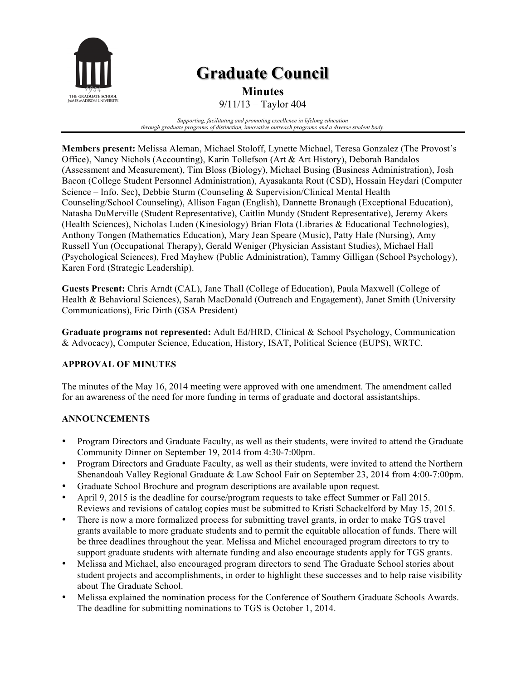

# **Graduate Council**

**Minutes**

9/11/13 – Taylor 404

*Supporting, facilitating and promoting excellence in lifelong education through graduate programs of distinction, innovative outreach programs and a diverse student body.*

**Members present:** Melissa Aleman, Michael Stoloff, Lynette Michael, Teresa Gonzalez (The Provost's Office), Nancy Nichols (Accounting), Karin Tollefson (Art & Art History), Deborah Bandalos (Assessment and Measurement), Tim Bloss (Biology), Michael Busing (Business Administration), Josh Bacon (College Student Personnel Administration), Ayasakanta Rout (CSD), Hossain Heydari (Computer Science – Info. Sec), Debbie Sturm (Counseling & Supervision/Clinical Mental Health Counseling/School Counseling), Allison Fagan (English), Dannette Bronaugh (Exceptional Education), Natasha DuMerville (Student Representative), Caitlin Mundy (Student Representative), Jeremy Akers (Health Sciences), Nicholas Luden (Kinesiology) Brian Flota (Libraries & Educational Technologies), Anthony Tongen (Mathematics Education), Mary Jean Speare (Music), Patty Hale (Nursing), Amy Russell Yun (Occupational Therapy), Gerald Weniger (Physician Assistant Studies), Michael Hall (Psychological Sciences), Fred Mayhew (Public Administration), Tammy Gilligan (School Psychology), Karen Ford (Strategic Leadership).

**Guests Present:** Chris Arndt (CAL), Jane Thall (College of Education), Paula Maxwell (College of Health & Behavioral Sciences), Sarah MacDonald (Outreach and Engagement), Janet Smith (University Communications), Eric Dirth (GSA President)

**Graduate programs not represented:** Adult Ed/HRD, Clinical & School Psychology, Communication & Advocacy), Computer Science, Education, History, ISAT, Political Science (EUPS), WRTC.

## **APPROVAL OF MINUTES**

The minutes of the May 16, 2014 meeting were approved with one amendment. The amendment called for an awareness of the need for more funding in terms of graduate and doctoral assistantships.

### **ANNOUNCEMENTS**

- Program Directors and Graduate Faculty, as well as their students, were invited to attend the Graduate Community Dinner on September 19, 2014 from 4:30-7:00pm.
- Program Directors and Graduate Faculty, as well as their students, were invited to attend the Northern Shenandoah Valley Regional Graduate & Law School Fair on September 23, 2014 from 4:00-7:00pm.
- Graduate School Brochure and program descriptions are available upon request.
- April 9, 2015 is the deadline for course/program requests to take effect Summer or Fall 2015. Reviews and revisions of catalog copies must be submitted to Kristi Schackelford by May 15, 2015.
- There is now a more formalized process for submitting travel grants, in order to make TGS travel grants available to more graduate students and to permit the equitable allocation of funds. There will be three deadlines throughout the year. Melissa and Michel encouraged program directors to try to support graduate students with alternate funding and also encourage students apply for TGS grants.
- Melissa and Michael, also encouraged program directors to send The Graduate School stories about student projects and accomplishments, in order to highlight these successes and to help raise visibility about The Graduate School.
- Melissa explained the nomination process for the Conference of Southern Graduate Schools Awards. The deadline for submitting nominations to TGS is October 1, 2014.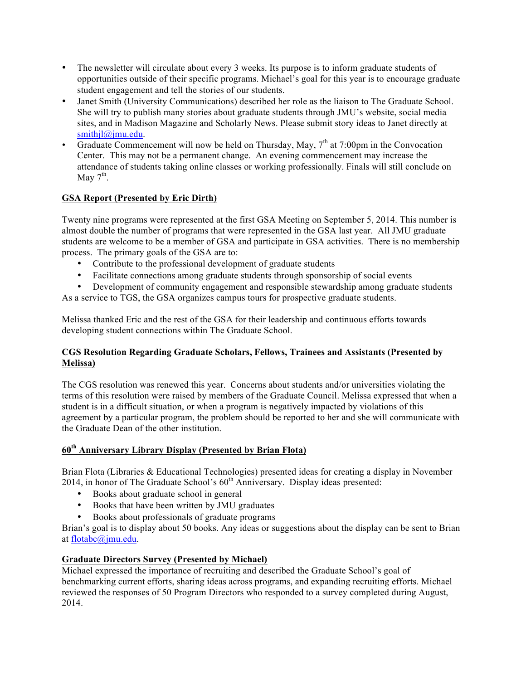- The newsletter will circulate about every 3 weeks. Its purpose is to inform graduate students of opportunities outside of their specific programs. Michael's goal for this year is to encourage graduate student engagement and tell the stories of our students.
- Janet Smith (University Communications) described her role as the liaison to The Graduate School. She will try to publish many stories about graduate students through JMU's website, social media sites, and in Madison Magazine and Scholarly News. Please submit story ideas to Janet directly at smithjl@jmu.edu.
- Graduate Commencement will now be held on Thursday, May,  $7<sup>th</sup>$  at 7:00pm in the Convocation Center. This may not be a permanent change. An evening commencement may increase the attendance of students taking online classes or working professionally. Finals will still conclude on May  $7^{\text{th}}$ .

## **GSA Report (Presented by Eric Dirth)**

Twenty nine programs were represented at the first GSA Meeting on September 5, 2014. This number is almost double the number of programs that were represented in the GSA last year. All JMU graduate students are welcome to be a member of GSA and participate in GSA activities. There is no membership process. The primary goals of the GSA are to:

- Contribute to the professional development of graduate students
- Facilitate connections among graduate students through sponsorship of social events
- Development of community engagement and responsible stewardship among graduate students As a service to TGS, the GSA organizes campus tours for prospective graduate students.

Melissa thanked Eric and the rest of the GSA for their leadership and continuous efforts towards developing student connections within The Graduate School.

### **CGS Resolution Regarding Graduate Scholars, Fellows, Trainees and Assistants (Presented by Melissa)**

The CGS resolution was renewed this year. Concerns about students and/or universities violating the terms of this resolution were raised by members of the Graduate Council. Melissa expressed that when a student is in a difficult situation, or when a program is negatively impacted by violations of this agreement by a particular program, the problem should be reported to her and she will communicate with the Graduate Dean of the other institution.

### **60th Anniversary Library Display (Presented by Brian Flota)**

Brian Flota (Libraries & Educational Technologies) presented ideas for creating a display in November 2014, in honor of The Graduate School's  $60<sup>th</sup>$  Anniversary. Display ideas presented:

- Books about graduate school in general
- Books that have been written by JMU graduates
- Books about professionals of graduate programs

Brian's goal is to display about 50 books. Any ideas or suggestions about the display can be sent to Brian at flotabc@jmu.edu.

### **Graduate Directors Survey (Presented by Michael)**

Michael expressed the importance of recruiting and described the Graduate School's goal of benchmarking current efforts, sharing ideas across programs, and expanding recruiting efforts. Michael reviewed the responses of 50 Program Directors who responded to a survey completed during August, 2014.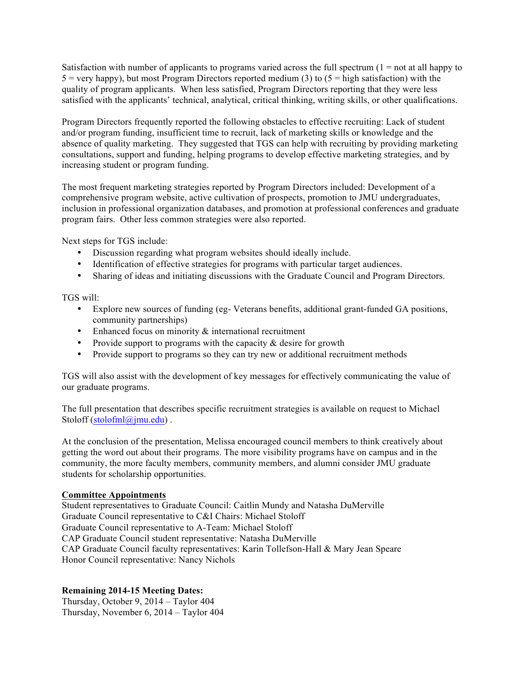Satisfaction with number of applicants to programs varied across the full spectrum  $(1 = not at all happy to$  $5 =$  very happy), but most Program Directors reported medium (3) to  $(5 =$  high satisfaction) with the quality of program applicants. When less satisfied, Program Directors reporting that they were less satisfied with the applicants' technical, analytical, critical thinking, writing skills, or other qualifications.

Program Directors frequently reported the following obstacles to effective recruiting: Lack of student and/or program funding, insufficient time to recruit, lack of marketing skills or knowledge and the absence of quality marketing. They suggested that TGS can help with recruiting by providing marketing consultations, support and funding, helping programs to develop effective marketing strategies, and by increasing student or program funding.

The most frequent marketing strategies reported by Program Directors included: Development of a comprehensive program website, active cultivation of prospects, promotion to JMU undergraduates, inclusion in professional organization databases, and promotion at professional conferences and graduate program fairs. Other less common strategies were also reported.

Next steps for TGS include:

- Discussion regarding what program websites should ideally include.
- Identification of effective strategies for programs with particular target audiences.
- Sharing of ideas and initiating discussions with the Graduate Council and Program Directors.

TGS will:

- Explore new sources of funding (eg- Veterans benefits, additional grant-funded GA positions, community partnerships)
- Enhanced focus on minority  $\&$  international recruitment
- Provide support to programs with the capacity  $\&$  desire for growth
- Provide support to programs so they can try new or additional recruitment methods

TGS will also assist with the development of key messages for effectively communicating the value of our graduate programs.

The full presentation that describes specific recruitment strategies is available on request to Michael Stoloff (stolofml@jmu.edu).

At the conclusion of the presentation, Melissa encouraged council members to think creatively about getting the word out about their programs. The more visibility programs have on campus and in the community, the more faculty members, community members, and alumni consider JMU graduate students for scholarship opportunities.

#### **Committee Appointments**

Student representatives to Graduate Council: Caitlin Mundy and Natasha DuMerville Graduate Council representative to C&I Chairs: Michael Stoloff Graduate Council representative to A-Team: Michael Stoloff CAP Graduate Council student representative: Natasha DuMerville CAP Graduate Council faculty representatives: Karin Tollefson-Hall & Mary Jean Speare Honor Council representative: Nancy Nichols

### **Remaining 2014-15 Meeting Dates:**

Thursday, October 9, 2014 – Taylor 404 Thursday, November 6, 2014 – Taylor 404